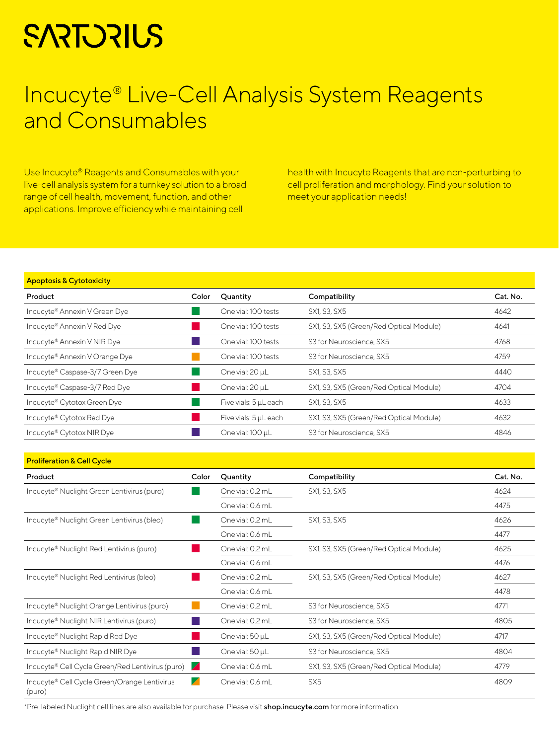# **SARTORILS**

## Incucyte® Live-Cell Analysis System Reagents and Consumables

Use Incucyte® Reagents and Consumables with your live-cell analysis system for a turnkey solution to a broad range of cell health, movement, function, and other applications. Improve efficiency while maintaining cell

health with Incucyte Reagents that are non-perturbing to cell proliferation and morphology. Find your solution to meet your application needs!

#### Apoptosis & Cytotoxicity

| Product                                 | Color | Quantity              | Compatibility                           | Cat. No. |
|-----------------------------------------|-------|-----------------------|-----------------------------------------|----------|
| Incucyte® Annexin V Green Dye           |       | One vial: 100 tests   | SX1, S3, SX5                            | 4642     |
| Incucyte <sup>®</sup> Annexin V Red Dye |       | One vial: 100 tests   | SX1, S3, SX5 (Green/Red Optical Module) | 4641     |
| Incucyte® Annexin V NIR Dye             |       | One vial: 100 tests   | S3 for Neuroscience, SX5                | 4768     |
| Incucyte® Annexin V Orange Dye          |       | One vial: 100 tests   | S3 for Neuroscience, SX5                | 4759     |
| Incucyte® Caspase-3/7 Green Dye         |       | One vial: 20 µL       | SX1, S3, SX5                            | 4440     |
| Incucyte® Caspase-3/7 Red Dye           |       | One vial: 20 µL       | SX1, S3, SX5 (Green/Red Optical Module) | 4704     |
| Incucyte® Cytotox Green Dye             |       | Five vials: 5 µL each | SX1, S3, SX5                            | 4633     |
| Incucyte® Cytotox Red Dye               |       | Five vials: 5 µL each | SX1, S3, SX5 (Green/Red Optical Module) | 4632     |
| Incucyte® Cytotox NIR Dye               |       | One vial: 100 µL      | S3 for Neuroscience, SX5                | 4846     |

| <b>Proliferation &amp; Cell Cycle</b>                   |          |                  |                                         |          |
|---------------------------------------------------------|----------|------------------|-----------------------------------------|----------|
| Product                                                 | Color    | Quantity         | Compatibility                           | Cat. No. |
| Incucyte® Nuclight Green Lentivirus (puro)              |          | One vial: 0.2 mL | SX1, S3, SX5                            | 4624     |
|                                                         |          | One vial: 0.6 mL |                                         | 4475     |
| Incucyte <sup>®</sup> Nuclight Green Lentivirus (bleo)  |          | One vial: 0.2 mL | SX1, S3, SX5                            | 4626     |
|                                                         |          | One vial: 0.6 mL |                                         | 4477     |
| Incucyte <sup>®</sup> Nuclight Red Lentivirus (puro)    |          | One vial: 0.2 mL | SX1, S3, SX5 (Green/Red Optical Module) | 4625     |
|                                                         |          | One vial: 0.6 mL |                                         | 4476     |
| Incucyte <sup>®</sup> Nuclight Red Lentivirus (bleo)    |          | One vial: 0.2 mL | SX1, S3, SX5 (Green/Red Optical Module) | 4627     |
|                                                         |          | One vial: 0.6 mL |                                         | 4478     |
| Incucyte <sup>®</sup> Nuclight Orange Lentivirus (puro) |          | One vial: 0.2 mL | S3 for Neuroscience, SX5                | 4771     |
| Incucyte <sup>®</sup> Nuclight NIR Lentivirus (puro)    |          | One vial: 0.2 mL | S3 for Neuroscience, SX5                | 4805     |
| Incucyte® Nuclight Rapid Red Dye                        |          | One vial: 50 µL  | SX1, S3, SX5 (Green/Red Optical Module) | 4717     |
| Incucyte® Nuclight Rapid NIR Dye                        |          | One vial: 50 µL  | S3 for Neuroscience, SX5                | 4804     |
| Incucyte® Cell Cycle Green/Red Lentivirus (puro)        |          | One vial: 0.6 mL | SX1, S3, SX5 (Green/Red Optical Module) | 4779     |
| Incucyte® Cell Cycle Green/Orange Lentivirus<br>(puro)  | $\angle$ | One vial: 0.6 mL | SX <sub>5</sub>                         | 4809     |

\*Pre-labeled Nuclight cell lines are also available for purchase. Please visit [shop.incucyte.com](http://shop.incucyte.com) for more information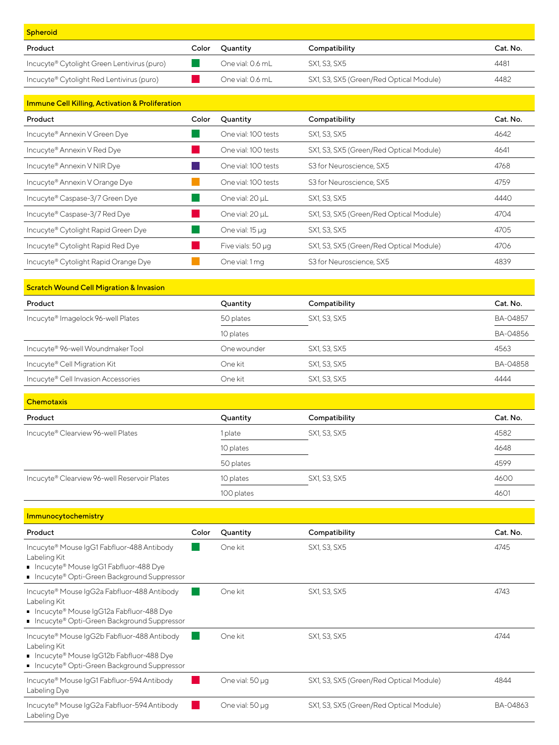| Color | Ouantity         | Compatibility                           | Cat. No. |
|-------|------------------|-----------------------------------------|----------|
|       | One vial: 0.6 mL | SX1, S3, SX5                            | 4481     |
|       | One vial: 0.6 mL | SX1, S3, SX5 (Green/Red Optical Module) | 4482     |
|       |                  |                                         |          |

| <b>Immune Cell Killing, Activation &amp; Proliferation</b> |       |                     |                                         |          |
|------------------------------------------------------------|-------|---------------------|-----------------------------------------|----------|
| Product                                                    | Color | Quantity            | Compatibility                           | Cat. No. |
| Incucyte® Annexin V Green Dye                              |       | One vial: 100 tests | SX1, S3, SX5                            | 4642     |
| Incucyte® Annexin V Red Dye                                |       | One vial: 100 tests | SX1, S3, SX5 (Green/Red Optical Module) | 4641     |
| Incucyte® Annexin V NIR Dye                                |       | One vial: 100 tests | S3 for Neuroscience, SX5                | 4768     |
| Incucyte® Annexin V Orange Dye                             |       | One vial: 100 tests | S3 for Neuroscience, SX5                | 4759     |
| Incucyte® Caspase-3/7 Green Dye                            |       | One vial: 20 µL     | SX1, S3, SX5                            | 4440     |
| Incucyte® Caspase-3/7 Red Dye                              |       | One vial: 20 µL     | SX1, S3, SX5 (Green/Red Optical Module) | 4704     |
| Incucyte® Cytolight Rapid Green Dye                        |       | One vial: 15 µg     | SX1, S3, SX5                            | 4705     |
| Incucyte® Cytolight Rapid Red Dye                          |       | Five vials: 50 µg   | SX1, S3, SX5 (Green/Red Optical Module) | 4706     |
| Incucyte® Cytolight Rapid Orange Dye                       |       | One vial: 1 mg      | S3 for Neuroscience, SX5                | 4839     |

| <b>Scratch Wound Cell Migration &amp; Invasion</b> |             |               |          |
|----------------------------------------------------|-------------|---------------|----------|
| Product                                            | Quantity    | Compatibility | Cat. No. |
| Incucyte <sup>®</sup> Imagelock 96-well Plates     | 50 plates   | SX1, S3, SX5  | BA-04857 |
|                                                    | 10 plates   |               | BA-04856 |
| Incucyte® 96-well Woundmaker Tool                  | One wounder | SX1, S3, SX5  | 4563     |
| Incucyte <sup>®</sup> Cell Migration Kit           | One kit     | SX1, S3, SX5  | BA-04858 |
| Incucyte® Cell Invasion Accessories                | One kit     | SX1, S3, SX5  | 4444     |

| <b>Chemotaxis</b>                            |            |               |          |
|----------------------------------------------|------------|---------------|----------|
| Product                                      | Quantity   | Compatibility | Cat. No. |
| Incucyte® Clearview 96-well Plates           | 1 plate    | SX1, S3, SX5  | 4582     |
|                                              | 10 plates  |               | 4648     |
|                                              | 50 plates  |               | 4599     |
| Incucyte® Clearview 96-well Reservoir Plates | 10 plates  | SX1, S3, SX5  | 4600     |
|                                              | 100 plates |               | 4601     |

| Immunocytochemistry                                                                                                                                      |       |                 |                                         |          |
|----------------------------------------------------------------------------------------------------------------------------------------------------------|-------|-----------------|-----------------------------------------|----------|
| Product                                                                                                                                                  | Color | Quantity        | Compatibility                           | Cat. No. |
| Incucyte® Mouse IgG1 Fabfluor-488 Antibody<br>Labeling Kit<br>■ Incucyte® Mouse IgG1 Fabfluor-488 Dye<br>■ Incucyte® Opti-Green Background Suppressor    |       | One kit         | SX1, S3, SX5                            | 4745     |
| Incucyte® Mouse IgG2a Fabfluor-488 Antibody<br>Labeling Kit<br>■ Incucyte® Mouse IgG12a Fabfluor-488 Dye<br>■ Incucyte® Opti-Green Background Suppressor |       | One kit         | SX1, S3, SX5                            | 4743     |
| Incucyte® Mouse IgG2b Fabfluor-488 Antibody<br>Labeling Kit<br>■ Incucyte® Mouse IgG12b Fabfluor-488 Dye<br>■ Incucyte® Opti-Green Background Suppressor |       | One kit         | SX1, S3, SX5                            | 4744     |
| Incucyte® Mouse IgG1 Fabfluor-594 Antibody<br>Labeling Dye                                                                                               |       | One vial: 50 µg | SX1, S3, SX5 (Green/Red Optical Module) | 4844     |
| Incucyte® Mouse IgG2a Fabfluor-594 Antibody<br>Labeling Dye                                                                                              |       | One vial: 50 µg | SX1, S3, SX5 (Green/Red Optical Module) | BA-04863 |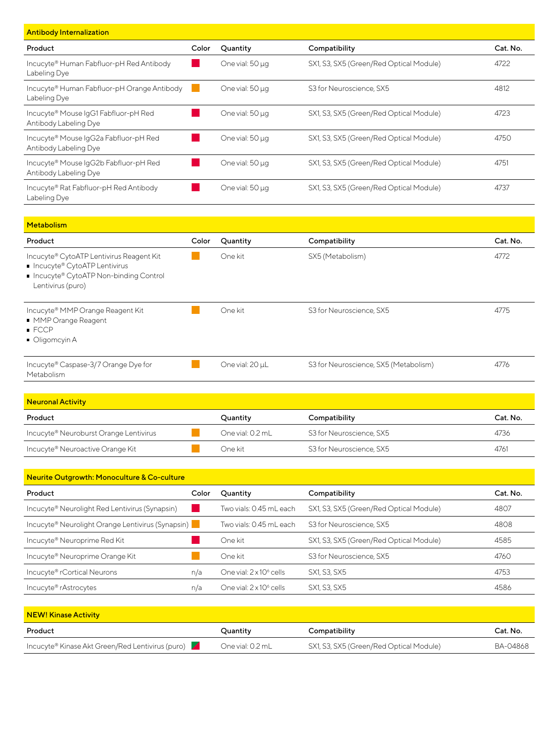| <b>Antibody Internalization</b>                                |       |                 |                                         |          |
|----------------------------------------------------------------|-------|-----------------|-----------------------------------------|----------|
| Product                                                        | Color | Quantity        | Compatibility                           | Cat. No. |
| Incucyte® Human Fabfluor-pH Red Antibody<br>Labeling Dye       |       | One vial: 50 µg | SX1, S3, SX5 (Green/Red Optical Module) | 4722     |
| Incucyte® Human Fabfluor-pH Orange Antibody<br>Labeling Dye    |       | One vial: 50 µg | S3 for Neuroscience, SX5                | 4812     |
| Incucyte® Mouse IgG1 Fabfluor-pH Red<br>Antibody Labeling Dye  |       | One vial: 50 µg | SX1, S3, SX5 (Green/Red Optical Module) | 4723     |
| Incucyte® Mouse IgG2a Fabfluor-pH Red<br>Antibody Labeling Dye |       | One vial: 50 µg | SX1, S3, SX5 (Green/Red Optical Module) | 4750     |
| Incucyte® Mouse IgG2b Fabfluor-pH Red<br>Antibody Labeling Dye |       | One vial: 50 µg | SX1, S3, SX5 (Green/Red Optical Module) | 4751     |
| Incucyte® Rat Fabfluor-pH Red Antibody<br>Labeling Dye         |       | One vial: 50 µg | SX1, S3, SX5 (Green/Red Optical Module) | 4737     |

| Metabolism                                                                                                                               |       |                 |                                       |          |
|------------------------------------------------------------------------------------------------------------------------------------------|-------|-----------------|---------------------------------------|----------|
| Product                                                                                                                                  | Color | Quantity        | Compatibility                         | Cat. No. |
| Incucyte® CytoATP Lentivirus Reagent Kit<br>Incucyte® CytoATP Lentivirus<br>■ Incucyte® CytoATP Non-binding Control<br>Lentivirus (puro) |       | One kit         | SX5 (Metabolism)                      | 4772     |
| Incucyte® MMP Orange Reagent Kit<br>■ MMP Orange Reagent<br>$\blacksquare$ FCCP<br>Oligomcyin A                                          |       | One kit         | S3 for Neuroscience, SX5              | 4775     |
| Incucyte® Caspase-3/7 Orange Dye for<br>Metabolism                                                                                       |       | One vial: 20 µL | S3 for Neuroscience, SX5 (Metabolism) | 4776     |

| <b>Neuronal Activity</b>               |                  |                          |          |
|----------------------------------------|------------------|--------------------------|----------|
| Product                                | Ouantity         | Compatibility            | Cat. No. |
| Incucyte® Neuroburst Orange Lentivirus | One vial: 0.2 mL | S3 for Neuroscience, SX5 | 4736     |
| Incucyte® Neuroactive Orange Kit       | One kit          | S3 for Neuroscience, SX5 | 4761     |

| Neurite Outgrowth: Monoculture & Co-culture                |       |                                     |                                         |          |
|------------------------------------------------------------|-------|-------------------------------------|-----------------------------------------|----------|
| Product                                                    | Color | Quantity                            | Compatibility                           | Cat. No. |
| Incucyte <sup>®</sup> Neurolight Red Lentivirus (Synapsin) |       | Two vials: 0.45 mL each             | SX1, S3, SX5 (Green/Red Optical Module) | 4807     |
| Incucyte® Neurolight Orange Lentivirus (Synapsin)          |       | Two vials: 0.45 mL each             | S3 for Neuroscience, SX5                | 4808     |
| Incucyte® Neuroprime Red Kit                               |       | One kit                             | SX1, S3, SX5 (Green/Red Optical Module) | 4585     |
| Incucyte® Neuroprime Orange Kit                            |       | One kit                             | S3 for Neuroscience, SX5                | 4760     |
| Incucyte® rCortical Neurons                                | n/a   | One vial: $2 \times 10^6$ cells     | SX1, S3, SX5                            | 4753     |
| Incucyte® rAstrocytes                                      | n/a   | One vial: 2 x 10 <sup>6</sup> cells | SX1, S3, SX5                            | 4586     |

| NEW! Kinase Activity                             |                  |                                         |          |
|--------------------------------------------------|------------------|-----------------------------------------|----------|
| Product                                          | Quantity         | Compatibility                           | Cat. No. |
| Incucyte® Kinase Akt Green/Red Lentivirus (puro) | One vial: 0.2 mL | SX1, S3, SX5 (Green/Red Optical Module) | BA-04868 |